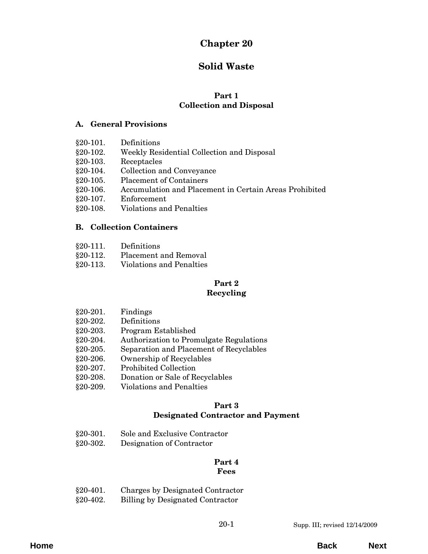# **Chapter 20**

# **Solid Waste**

#### **Part 1 Collection and Disposal**

#### **A. General Provisions**

| $§20-101.$ | Definitions                                            |
|------------|--------------------------------------------------------|
| $§20-102.$ | Weekly Residential Collection and Disposal             |
| $§20-103.$ | Receptacles                                            |
| $§20-104.$ | Collection and Conveyance                              |
| $§20-105.$ | <b>Placement of Containers</b>                         |
| $§20-106.$ | Accumulation and Placement in Certain Areas Prohibited |
| $§20-107.$ | Enforcement                                            |
| $§20-108.$ | <b>Violations and Penalties</b>                        |

# **B. Collection Containers**

- §20-111. Definitions
- §20-112. Placement and Removal
- [§20-113. Violations and Penalties](#page-4-0)

# **Part 2**

# **Recycling**

- §20-201. Findings
- [§20-202. Definitions](#page-6-0)
- §20-203. Program Established
- [§20-204. Authorization to Promulgate Regulations](#page-7-0)
- §20-205. Separation and Placement of Recyclables
- §20-206. Ownership of Recyclables
- §20-207. Prohibited Collection
- [§20-208. Donation or Sale of Recyclables](#page-8-0)
- [§20-209. Violations and Penalties](#page-9-0)

#### **Part 3 Designated Contractor and Payment**

| $§20-301.$ | Sole and Exclusive Contractor |
|------------|-------------------------------|
| 800.00     | <u>ה היה היה</u>              |

§20-302. Designation of Contractor

#### **Part 4 Fees**

[§20-401. Charges by Designated Contractor](#page-12-0) §20-402. Billing by Designated Contractor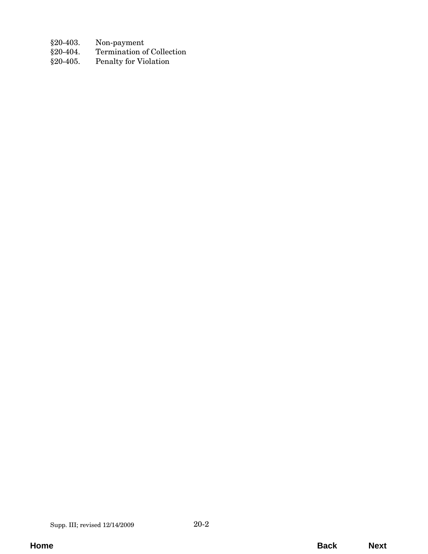- $§20-403.$  Non-payment  $§20-404.$  Termination o
- Termination of Collection
- [§20-405. Penalty for Violation](#page-13-0)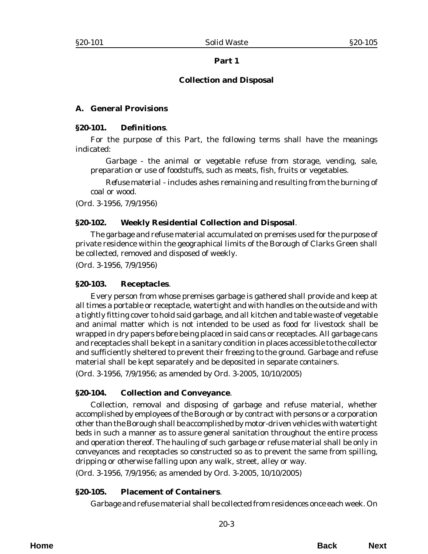#### **Collection and Disposal**

#### <span id="page-2-0"></span>**A. General Provisions**

#### **§20-101. Definitions**.

For the purpose of this Part, the following terms shall have the meanings indicated:

*Garbage* - the animal or vegetable refuse from storage, vending, sale, preparation or use of foodstuffs, such as meats, fish, fruits or vegetables.

*Refuse material* - includes ashes remaining and resulting from the burning of coal or wood.

(*Ord. 3-1956*, 7/9/1956)

#### **§20-102. Weekly Residential Collection and Disposal**.

The garbage and refuse material accumulated on premises used for the purpose of private residence within the geographical limits of the Borough of Clarks Green shall be collected, removed and disposed of weekly.

(*Ord. 3-1956*, 7/9/1956)

#### **§20-103. Receptacles**.

Every person from whose premises garbage is gathered shall provide and keep at all times a portable or receptacle, watertight and with handles on the outside and with a tightly fitting cover to hold said garbage, and all kitchen and table waste of vegetable and animal matter which is not intended to be used as food for livestock shall be wrapped in dry papers before being placed in said cans or receptacles. All garbage cans and receptacles shall be kept in a sanitary condition in places accessible to the collector and sufficiently sheltered to prevent their freezing to the ground. Garbage and refuse material shall be kept separately and be deposited in separate containers.

(*Ord. 3-1956*, 7/9/1956; as amended by *Ord. 3-2005*, 10/10/2005)

#### **§20-104. Collection and Conveyance**.

Collection, removal and disposing of garbage and refuse material, whether accomplished by employees of the Borough or by contract with persons or a corporation other than the Borough shall be accomplished by motor-driven vehicles with watertight beds in such a manner as to assure general sanitation throughout the entire process and operation thereof. The hauling of such garbage or refuse material shall be only in conveyances and receptacles so constructed so as to prevent the same from spilling, dripping or otherwise falling upon any walk, street, alley or way.

(*Ord. 3-1956*, 7/9/1956; as amended by *Ord. 3-2005*, 10/10/2005)

#### **§20-105. Placement of Containers**.

Garbage and refuse material shall be collected from residences once each week. On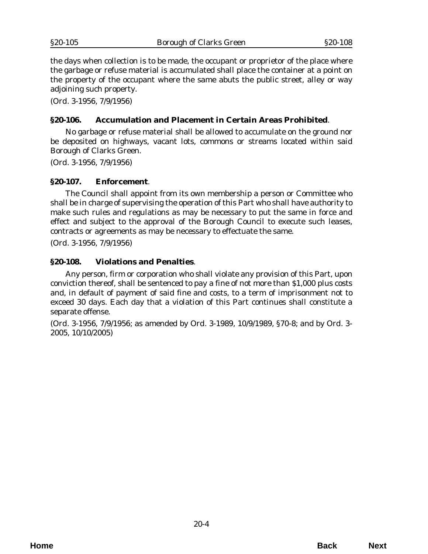<span id="page-3-0"></span>the days when collection is to be made, the occupant or proprietor of the place where the garbage or refuse material is accumulated shall place the container at a point on the property of the occupant where the same abuts the public street, alley or way adjoining such property.

(*Ord. 3-1956*, 7/9/1956)

#### **§20-106. Accumulation and Placement in Certain Areas Prohibited**.

No garbage or refuse material shall be allowed to accumulate on the ground nor be deposited on highways, vacant lots, commons or streams located within said Borough of Clarks Green.

(*Ord. 3-1956*, 7/9/1956)

#### **§20-107. Enforcement**.

The Council shall appoint from its own membership a person or Committee who shall be in charge of supervising the operation of this Part who shall have authority to make such rules and regulations as may be necessary to put the same in force and effect and subject to the approval of the Borough Council to execute such leases, contracts or agreements as may be necessary to effectuate the same.

(*Ord. 3-1956*, 7/9/1956)

#### **§20-108. Violations and Penalties**.

Any person, firm or corporation who shall violate any provision of this Part, upon conviction thereof, shall be sentenced to pay a fine of not more than \$1,000 plus costs and, in default of payment of said fine and costs, to a term of imprisonment not to exceed 30 days. Each day that a violation of this Part continues shall constitute a separate offense.

(*Ord. 3-1956*, 7/9/1956; as amended by *Ord. 3-1989*, 10/9/1989, §70-8; and by *Ord. 3- 2005*, 10/10/2005)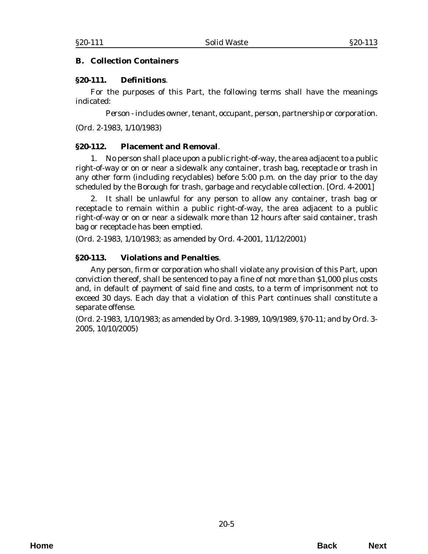#### <span id="page-4-0"></span>**B. Collection Containers**

#### **§20-111. Definitions**.

For the purposes of this Part, the following terms shall have the meanings indicated:

*Person* - includes owner, tenant, occupant, person, partnership or corporation.

(*Ord. 2-1983*, 1/10/1983)

#### **§20-112. Placement and Removal**.

1. No person shall place upon a public right-of-way, the area adjacent to a public right-of-way or on or near a sidewalk any container, trash bag, receptacle or trash in any other form (including recyclables) before 5:00 p.m. on the day prior to the day scheduled by the Borough for trash, garbage and recyclable collection. [*Ord. 4-2001*]

2. It shall be unlawful for any person to allow any container, trash bag or receptacle to remain within a public right-of-way, the area adjacent to a public right-of-way or on or near a sidewalk more than 12 hours after said container, trash bag or receptacle has been emptied.

(*Ord. 2-1983*, 1/10/1983; as amended by *Ord. 4-2001*, 11/12/2001)

#### **§20-113. Violations and Penalties**.

Any person, firm or corporation who shall violate any provision of this Part, upon conviction thereof, shall be sentenced to pay a fine of not more than \$1,000 plus costs and, in default of payment of said fine and costs, to a term of imprisonment not to exceed 30 days. Each day that a violation of this Part continues shall constitute a separate offense.

(*Ord. 2-1983*, 1/10/1983; as amended by *Ord. 3-1989*, 10/9/1989, §70-11; and by *Ord. 3- 2005*, 10/10/2005)

**Home Back Next**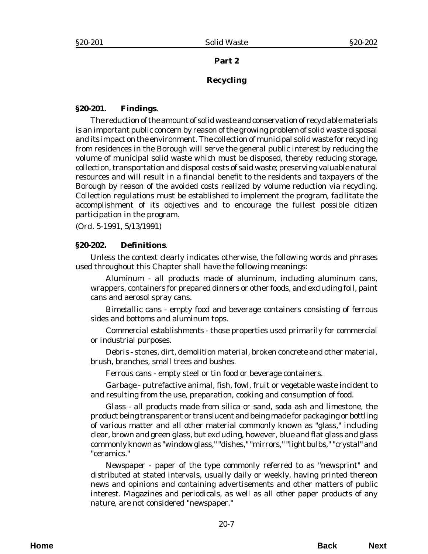#### **Recycling**

#### <span id="page-6-0"></span>**§20-201. Findings**.

The reduction of the amount of solid waste and conservation of recyclable materials is an important public concern by reason of the growing problem of solid waste disposal and its impact on the environment. The collection of municipal solid waste for recycling from residences in the Borough will serve the general public interest by reducing the volume of municipal solid waste which must be disposed, thereby reducing storage, collection, transportation and disposal costs of said waste; preserving valuable natural resources and will result in a financial benefit to the residents and taxpayers of the Borough by reason of the avoided costs realized by volume reduction via recycling. Collection regulations must be established to implement the program, facilitate the accomplishment of its objectives and to encourage the fullest possible citizen participation in the program.

(*Ord. 5-1991*, 5/13/1991)

#### **§20-202. Definitions**.

Unless the context clearly indicates otherwise, the following words and phrases used throughout this Chapter shall have the following meanings:

*Aluminum* - all products made of aluminum, including aluminum cans, wrappers, containers for prepared dinners or other foods, and excluding foil, paint cans and aerosol spray cans.

*Bimetallic cans* - empty food and beverage containers consisting of ferrous sides and bottoms and aluminum tops.

*Commercial establishments* - those properties used primarily for commercial or industrial purposes.

*Debris* - stones, dirt, demolition material, broken concrete and other material, brush, branches, small trees and bushes.

*Ferrous cans* - empty steel or tin food or beverage containers.

*Garbage* - putrefactive animal, fish, fowl, fruit or vegetable waste incident to and resulting from the use, preparation, cooking and consumption of food.

*Glass* - all products made from silica or sand, soda ash and limestone, the product being transparent or translucent and being made for packaging or bottling of various matter and all other material commonly known as "glass," including clear, brown and green glass, but excluding, however, blue and flat glass and glass commonly known as "window glass," "dishes," "mirrors," "light bulbs," "crystal" and "ceramics."

*Newspaper* - paper of the type commonly referred to as "newsprint" and distributed at stated intervals, usually daily or weekly, having printed thereon news and opinions and containing advertisements and other matters of public interest. Magazines and periodicals, as well as all other paper products of any nature, are not considered "newspaper."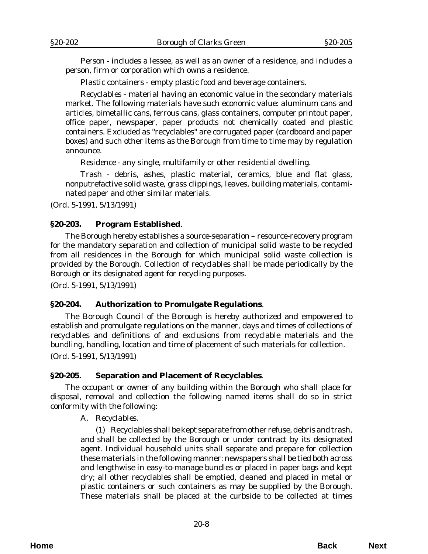<span id="page-7-0"></span>*Person* - includes a lessee, as well as an owner of a residence, and includes a person, firm or corporation which owns a residence.

*Plastic containers* - empty plastic food and beverage containers.

*Recyclables* - material having an economic value in the secondary materials market. The following materials have such economic value: aluminum cans and articles, bimetallic cans, ferrous cans, glass containers, computer printout paper, office paper, newspaper, paper products not chemically coated and plastic containers. Excluded as "recyclables" are corrugated paper (cardboard and paper boxes) and such other items as the Borough from time to time may by regulation announce.

*Residence* - any single, multifamily or other residential dwelling.

*Trash* - debris, ashes, plastic material, ceramics, blue and flat glass, nonputrefactive solid waste, grass clippings, leaves, building materials, contaminated paper and other similar materials.

(*Ord. 5-1991*, 5/13/1991)

#### **§20-203. Program Established**.

The Borough hereby establishes a source-separation – resource-recovery program for the mandatory separation and collection of municipal solid waste to be recycled from all residences in the Borough for which municipal solid waste collection is provided by the Borough. Collection of recyclables shall be made periodically by the Borough or its designated agent for recycling purposes.

(*Ord. 5-1991*, 5/13/1991)

#### **§20-204. Authorization to Promulgate Regulations**.

The Borough Council of the Borough is hereby authorized and empowered to establish and promulgate regulations on the manner, days and times of collections of recyclables and definitions of and exclusions from recyclable materials and the bundling, handling, location and time of placement of such materials for collection.

(*Ord. 5-1991*, 5/13/1991)

#### **§20-205. Separation and Placement of Recyclables**.

The occupant or owner of any building within the Borough who shall place for disposal, removal and collection the following named items shall do so in strict conformity with the following:

A. *Recyclables*.

(1) Recyclables shall be kept separate from other refuse, debris and trash, and shall be collected by the Borough or under contract by its designated agent. Individual household units shall separate and prepare for collection these materials in the following manner: newspapers shall be tied both across and lengthwise in easy-to-manage bundles or placed in paper bags and kept dry; all other recyclables shall be emptied, cleaned and placed in metal or plastic containers or such containers as may be supplied by the Borough. These materials shall be placed at the curbside to be collected at times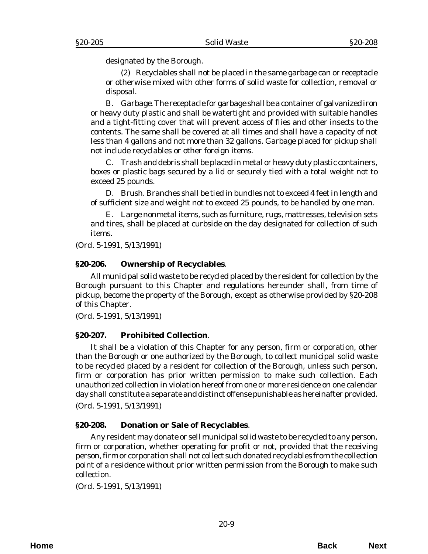<span id="page-8-0"></span>designated by the Borough.

(2) Recyclables shall not be placed in the same garbage can or receptacle or otherwise mixed with other forms of solid waste for collection, removal or disposal.

B. *Garbage*. The receptacle for garbage shall be a container of galvanized iron or heavy duty plastic and shall be watertight and provided with suitable handles and a tight-fitting cover that will prevent access of flies and other insects to the contents. The same shall be covered at all times and shall have a capacity of not less than 4 gallons and not more than 32 gallons. Garbage placed for pickup shall not include recyclables or other foreign items.

C. Trash and debris shall be placed in metal or heavy duty plastic containers, boxes or plastic bags secured by a lid or securely tied with a total weight not to exceed 25 pounds.

D. *Brush*. Branches shall be tied in bundles not to exceed 4 feet in length and of sufficient size and weight not to exceed 25 pounds, to be handled by one man.

E. Large nonmetal items, such as furniture, rugs, mattresses, television sets and tires, shall be placed at curbside on the day designated for collection of such items.

(*Ord. 5-1991*, 5/13/1991)

#### **§20-206. Ownership of Recyclables**.

All municipal solid waste to be recycled placed by the resident for collection by the Borough pursuant to this Chapter and regulations hereunder shall, from time of pickup, become the property of the Borough, except as otherwise provided by §20-208 of this Chapter.

(*Ord. 5-1991*, 5/13/1991)

#### **§20-207. Prohibited Collection**.

It shall be a violation of this Chapter for any person, firm or corporation, other than the Borough or one authorized by the Borough, to collect municipal solid waste to be recycled placed by a resident for collection of the Borough, unless such person, firm or corporation has prior written permission to make such collection. Each unauthorized collection in violation hereof from one or more residence on one calendar day shall constitute a separate and distinct offense punishable as hereinafter provided. (*Ord. 5-1991*, 5/13/1991)

#### **§20-208. Donation or Sale of Recyclables**.

Any resident may donate or sell municipal solid waste to be recycled to any person, firm or corporation, whether operating for profit or not, provided that the receiving person, firm or corporation shall not collect such donated recyclables from the collection point of a residence without prior written permission from the Borough to make such collection.

(*Ord. 5-1991*, 5/13/1991)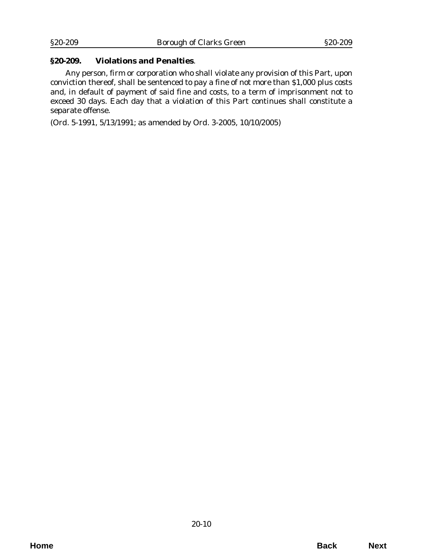#### <span id="page-9-0"></span>**§20-209. Violations and Penalties**.

Any person, firm or corporation who shall violate any provision of this Part, upon conviction thereof, shall be sentenced to pay a fine of not more than \$1,000 plus costs and, in default of payment of said fine and costs, to a term of imprisonment not to exceed 30 days. Each day that a violation of this Part continues shall constitute a separate offense.

(*Ord. 5-1991*, 5/13/1991; as amended by *Ord. 3-2005*, 10/10/2005)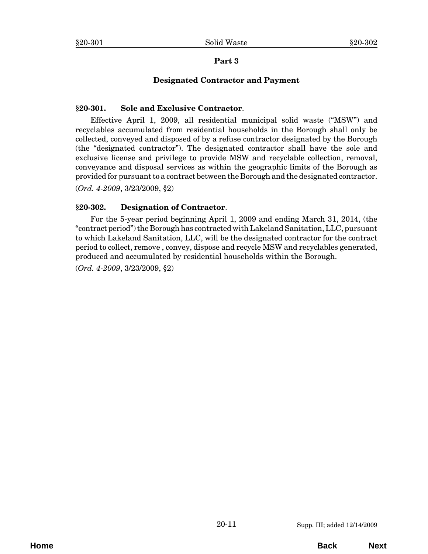### **Designated Contractor and Payment**

#### <span id="page-10-0"></span>**§20-301. Sole and Exclusive Contractor**.

Effective April 1, 2009, all residential municipal solid waste ("MSW") and recyclables accumulated from residential households in the Borough shall only be collected, conveyed and disposed of by a refuse contractor designated by the Borough (the "designated contractor"). The designated contractor shall have the sole and exclusive license and privilege to provide MSW and recyclable collection, removal, conveyance and disposal services as within the geographic limits of the Borough as provided for pursuant to a contract between the Borough and the designated contractor.

(*Ord. 4-2009*, 3/23/2009, §2)

#### **§20-302. Designation of Contractor**.

For the 5-year period beginning April 1, 2009 and ending March 31, 2014, (the "contract period") the Borough has contracted with Lakeland Sanitation, LLC, pursuant to which Lakeland Sanitation, LLC, will be the designated contractor for the contract period to collect, remove , convey, dispose and recycle MSW and recyclables generated, produced and accumulated by residential households within the Borough.

(*Ord. 4-2009*, 3/23/2009, §2)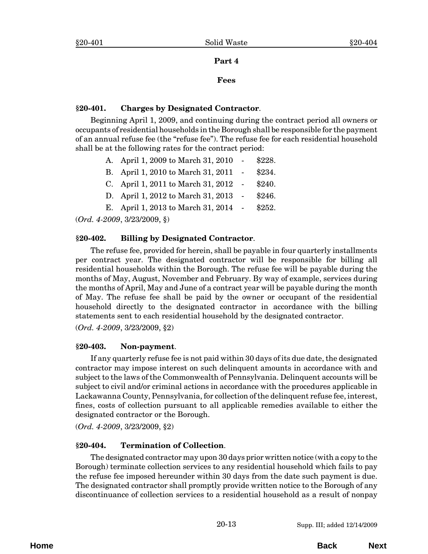#### **Fees**

#### <span id="page-12-0"></span>**§20-401. Charges by Designated Contractor**.

Beginning April 1, 2009, and continuing during the contract period all owners or occupants of residential households in the Borough shall be responsible for the payment of an annual refuse fee (the "refuse fee"). The refuse fee for each residential household shall be at the following rates for the contract period:

|  | A. April 1, 2009 to March 31, 2010 | $\sim$ $ \sim$ | \$228. |  |  |
|--|------------------------------------|----------------|--------|--|--|
|  | B. April 1, 2010 to March 31, 2011 |                | \$234. |  |  |
|  | C. April 1, 2011 to March 31, 2012 |                | \$240. |  |  |
|  | D. April 1, 2012 to March 31, 2013 |                | \$246. |  |  |
|  | E. April 1, 2013 to March 31, 2014 |                | \$252. |  |  |
|  |                                    |                |        |  |  |

(*Ord. 4-2009*, 3/23/2009, §)

#### **§20-402. Billing by Designated Contractor**.

The refuse fee, provided for herein, shall be payable in four quarterly installments per contract year. The designated contractor will be responsible for billing all residential households within the Borough. The refuse fee will be payable during the months of May, August, November and February. By way of example, services during the months of April, May and June of a contract year will be payable during the month of May. The refuse fee shall be paid by the owner or occupant of the residential household directly to the designated contractor in accordance with the billing statements sent to each residential household by the designated contractor.

(*Ord. 4-2009*, 3/23/2009, §2)

#### **§20-403. Non-payment**.

If any quarterly refuse fee is not paid within 30 days of its due date, the designated contractor may impose interest on such delinquent amounts in accordance with and subject to the laws of the Commonwealth of Pennsylvania. Delinquent accounts will be subject to civil and/or criminal actions in accordance with the procedures applicable in Lackawanna County, Pennsylvania, for collection of the delinquent refuse fee, interest, fines, costs of collection pursuant to all applicable remedies available to either the designated contractor or the Borough.

(*Ord. 4-2009*, 3/23/2009, §2)

#### **§20-404. Termination of Collection**.

The designated contractor may upon 30 days prior written notice (with a copy to the Borough) terminate collection services to any residential household which fails to pay the refuse fee imposed hereunder within 30 days from the date such payment is due. The designated contractor shall promptly provide written notice to the Borough of any discontinuance of collection services to a residential household as a result of nonpay